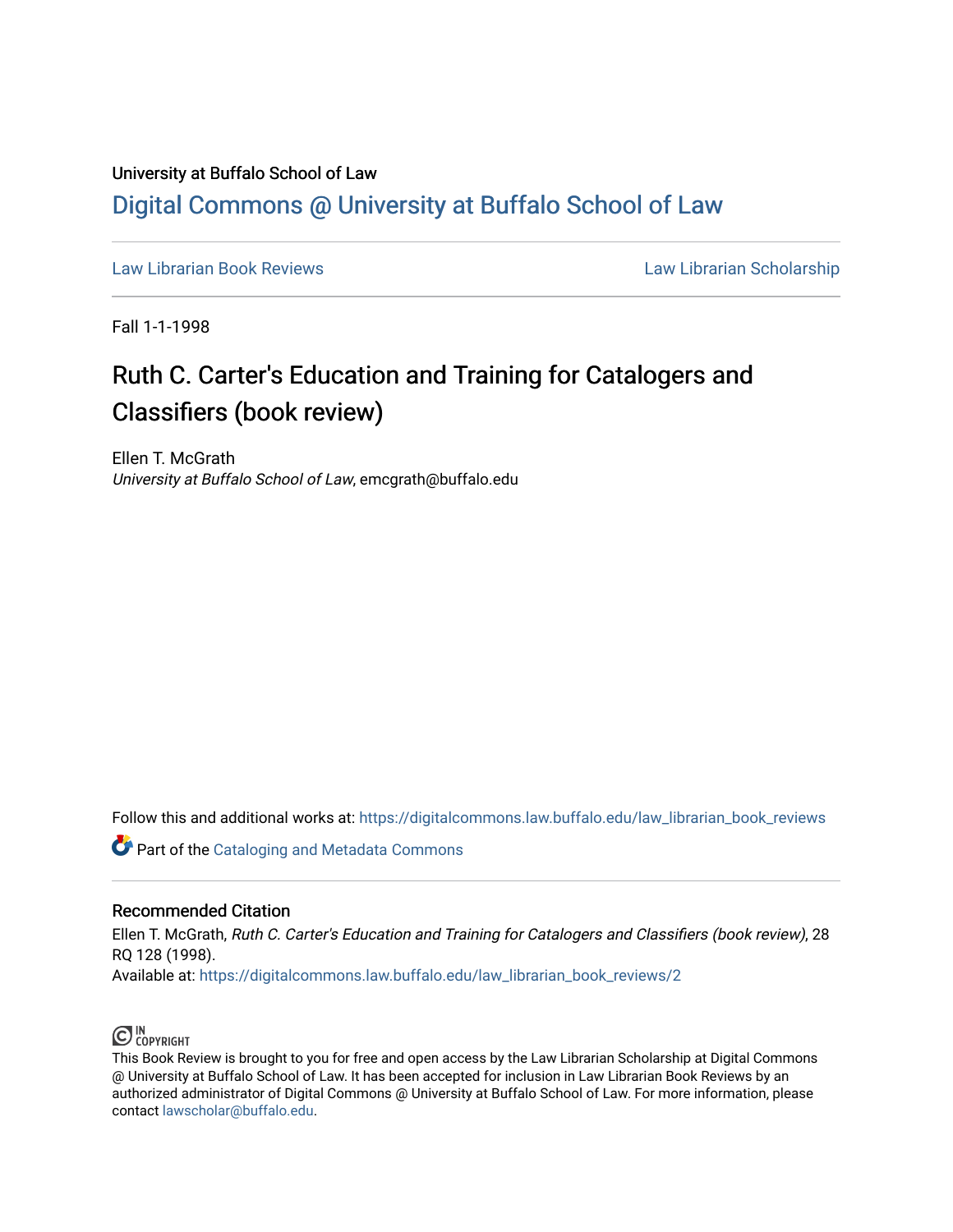## University at Buffalo School of Law [Digital Commons @ University at Buffalo School of Law](https://digitalcommons.law.buffalo.edu/)

[Law Librarian Book Reviews](https://digitalcommons.law.buffalo.edu/law_librarian_book_reviews) Law Librarian Scholarship

Fall 1-1-1998

## Ruth C. Carter's Education and Training for Catalogers and Classifiers (book review)

Ellen T. McGrath University at Buffalo School of Law, emcgrath@buffalo.edu

Follow this and additional works at: [https://digitalcommons.law.buffalo.edu/law\\_librarian\\_book\\_reviews](https://digitalcommons.law.buffalo.edu/law_librarian_book_reviews?utm_source=digitalcommons.law.buffalo.edu%2Flaw_librarian_book_reviews%2F2&utm_medium=PDF&utm_campaign=PDFCoverPages) 

**Part of the Cataloging and Metadata Commons** 

## Recommended Citation

Ellen T. McGrath, Ruth C. Carter's Education and Training for Catalogers and Classifiers (book review), 28 RQ 128 (1998).

Available at: [https://digitalcommons.law.buffalo.edu/law\\_librarian\\_book\\_reviews/2](https://digitalcommons.law.buffalo.edu/law_librarian_book_reviews/2?utm_source=digitalcommons.law.buffalo.edu%2Flaw_librarian_book_reviews%2F2&utm_medium=PDF&utm_campaign=PDFCoverPages) 



This Book Review is brought to you for free and open access by the Law Librarian Scholarship at Digital Commons @ University at Buffalo School of Law. It has been accepted for inclusion in Law Librarian Book Reviews by an authorized administrator of Digital Commons @ University at Buffalo School of Law. For more information, please contact [lawscholar@buffalo.edu.](mailto:lawscholar@buffalo.edu)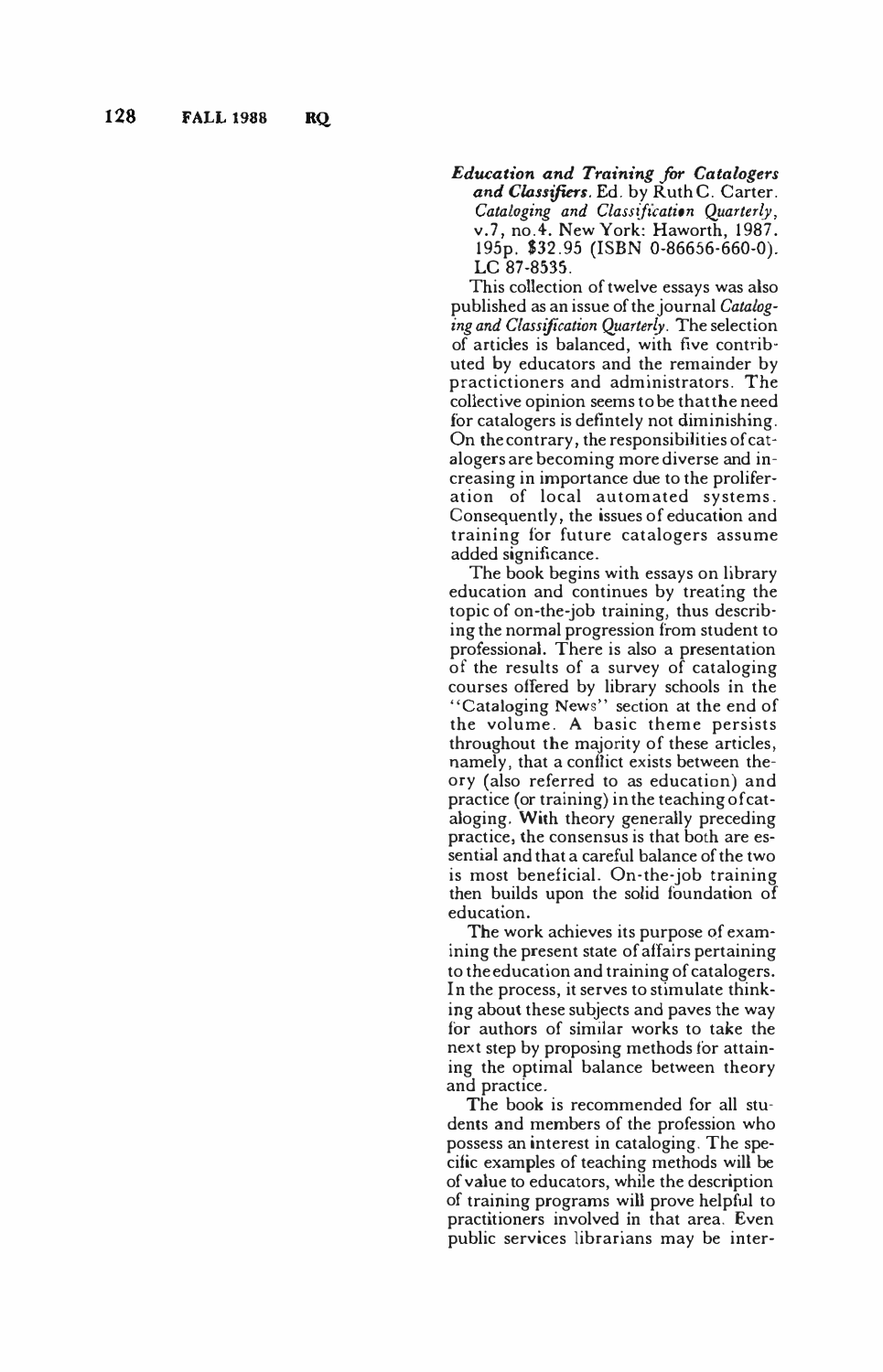*Education and Training for Catalogers and Classifiers.* Ed. by Ruth C. Carter. *Cataloging and Classification Quarterly,*  v.7, no.4. New York: Haworth, 1987. 195p. \$32.95 (ISBN 0-86656-660-0). LC 87-8535.

This collection of twelve essays was also published as an issue of the journal *Cataloging and Classification Quarterly.* The selection of articles is balanced, with five contributed by educators and the remainder by practictioners and administrators. The collective opinion seems to be that the need for catalogers is defintely not diminishing. On the contrary, the responsibilities of catalogers are becoming more diverse and increasing in importance due to the proliferation of local automated systems. Consequently, the issues of education and training for future catalogers assume added significance.

The book begins with essays on library education and continues by treating the topic of on-the-job training, thus describing the normal progression from student to professional. There is also a presentation of the results of a survey of cataloging courses offered by library schools in the "Cataloging News" section at the end of the volume. A basic theme persists throughout the majority of these articles, namely, that a conflict exists between theory (also referred to as education) and practice (or training) in the teaching of cataloging. With theory generally preceding practice, the consensus is that both are essential and that a careful balance of the two is most beneficial. On-the-job training then builds upon the solid foundation of education.

The work achieves its purpose of examining the present state of affairs pertaining to the education and training of catalogers. In the process, it serves to stimulate thinking about these subjects and paves the way for authors of similar works to take the next step by proposing methods for attaining the optimal balance between theory and practice.

The book is recommended for all students and members of the profession who possess an interest in cataloging. The specific examples of teaching methods will be of value to educators, while the description of training programs will prove helpful to practitioners involved in that area. Even public services librarians may be inter -